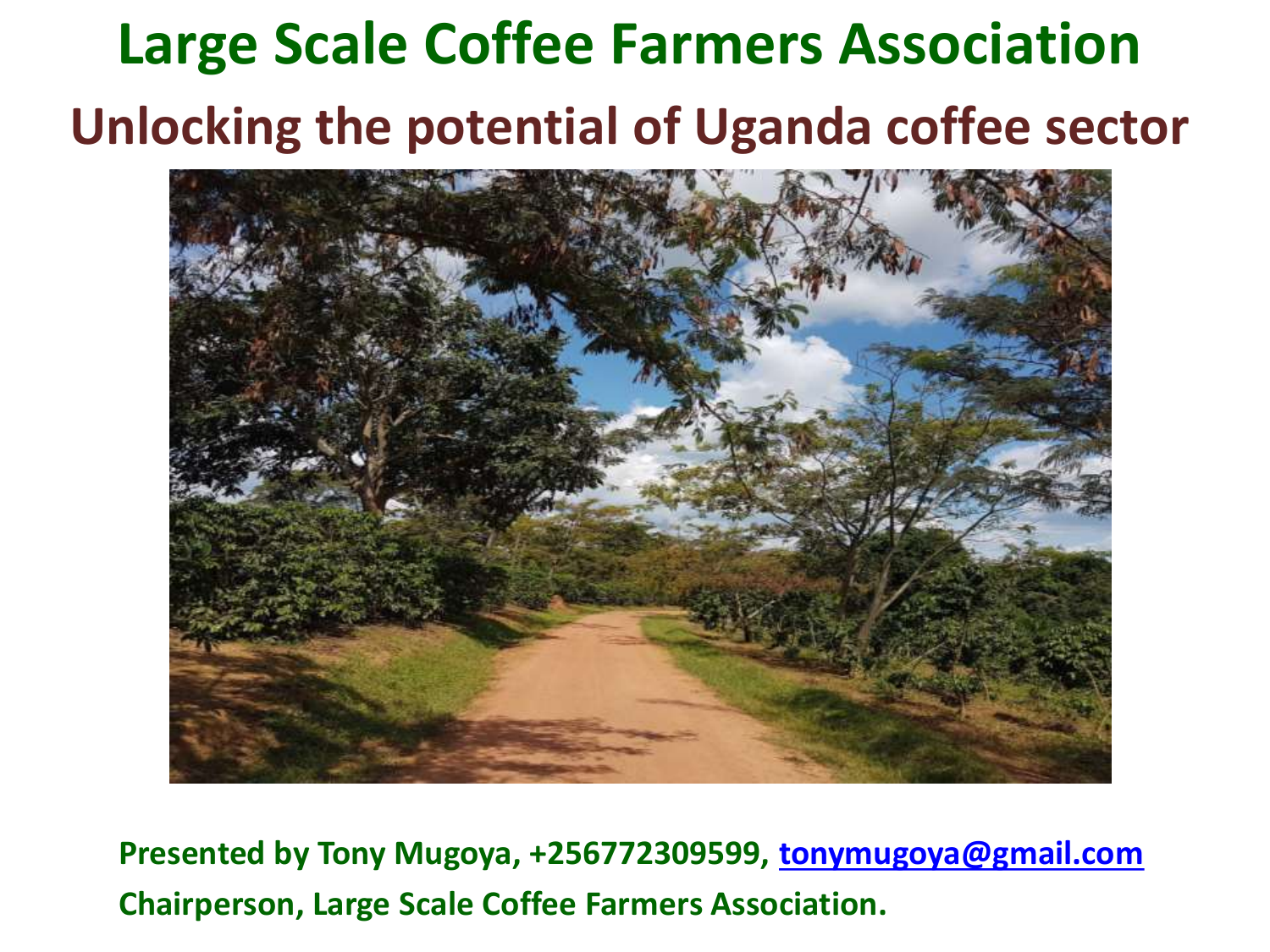# **Large Scale Coffee Farmers Association Unlocking the potential of Uganda coffee sector**



**Presented by Tony Mugoya, +256772309599, [tonymugoya@gmail.com](mailto:tonymugoya@gmail.com) Chairperson, Large Scale Coffee Farmers Association.**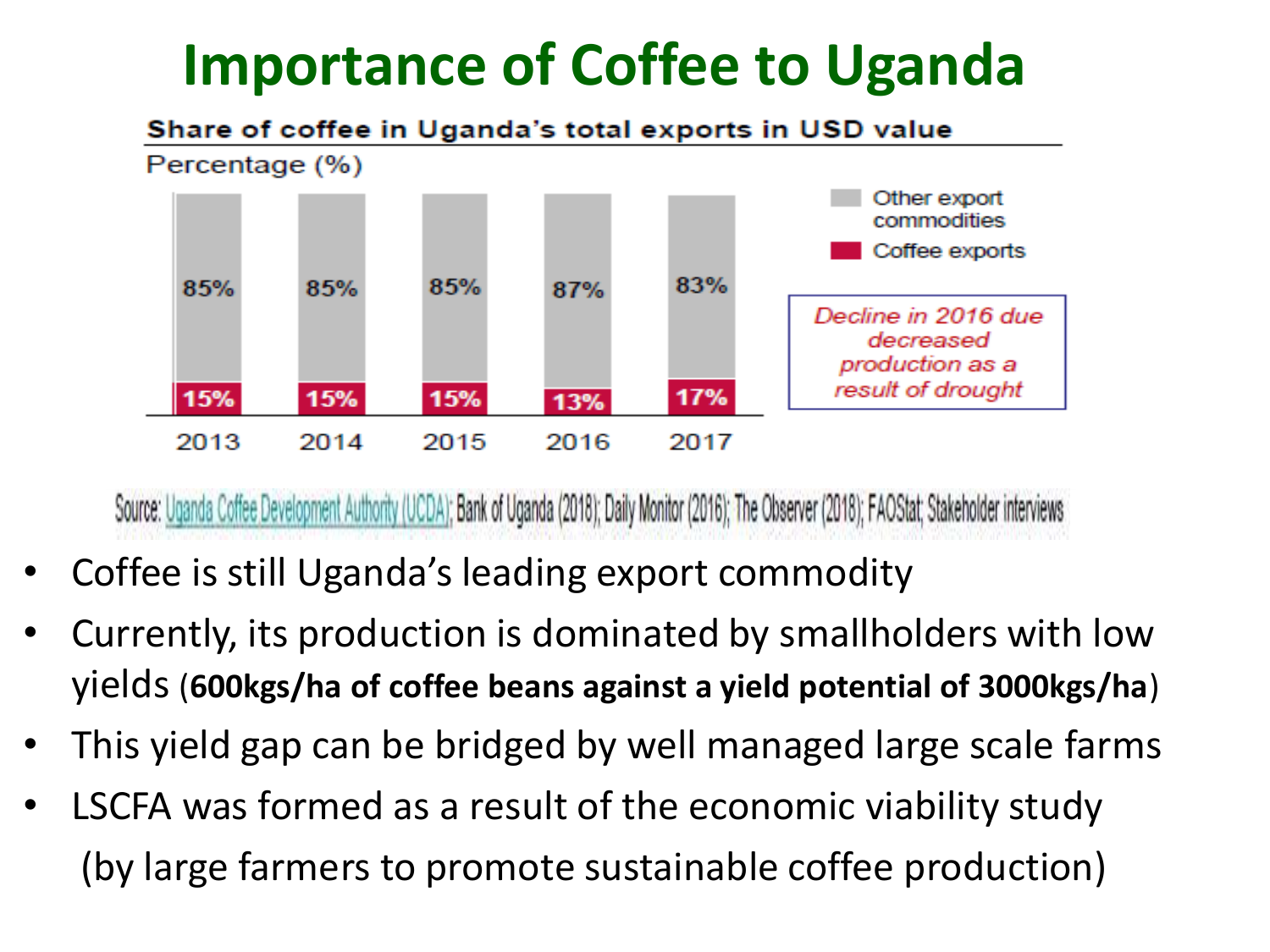## **Importance of Coffee to Uganda**

#### Share of coffee in Uganda's total exports in USD value



Source: Uganda Coffee Development Authority (UCDA); Bank of Uganda (2018); Daily Monitor (2016); The Observer (2018); FAOStat; Stakeholder interviews

- Coffee is still Uganda's leading export commodity
- Currently, its production is dominated by smallholders with low yields (**600kgs/ha of coffee beans against a yield potential of 3000kgs/ha**)
- This yield gap can be bridged by well managed large scale farms
- LSCFA was formed as a result of the economic viability study (by large farmers to promote sustainable coffee production)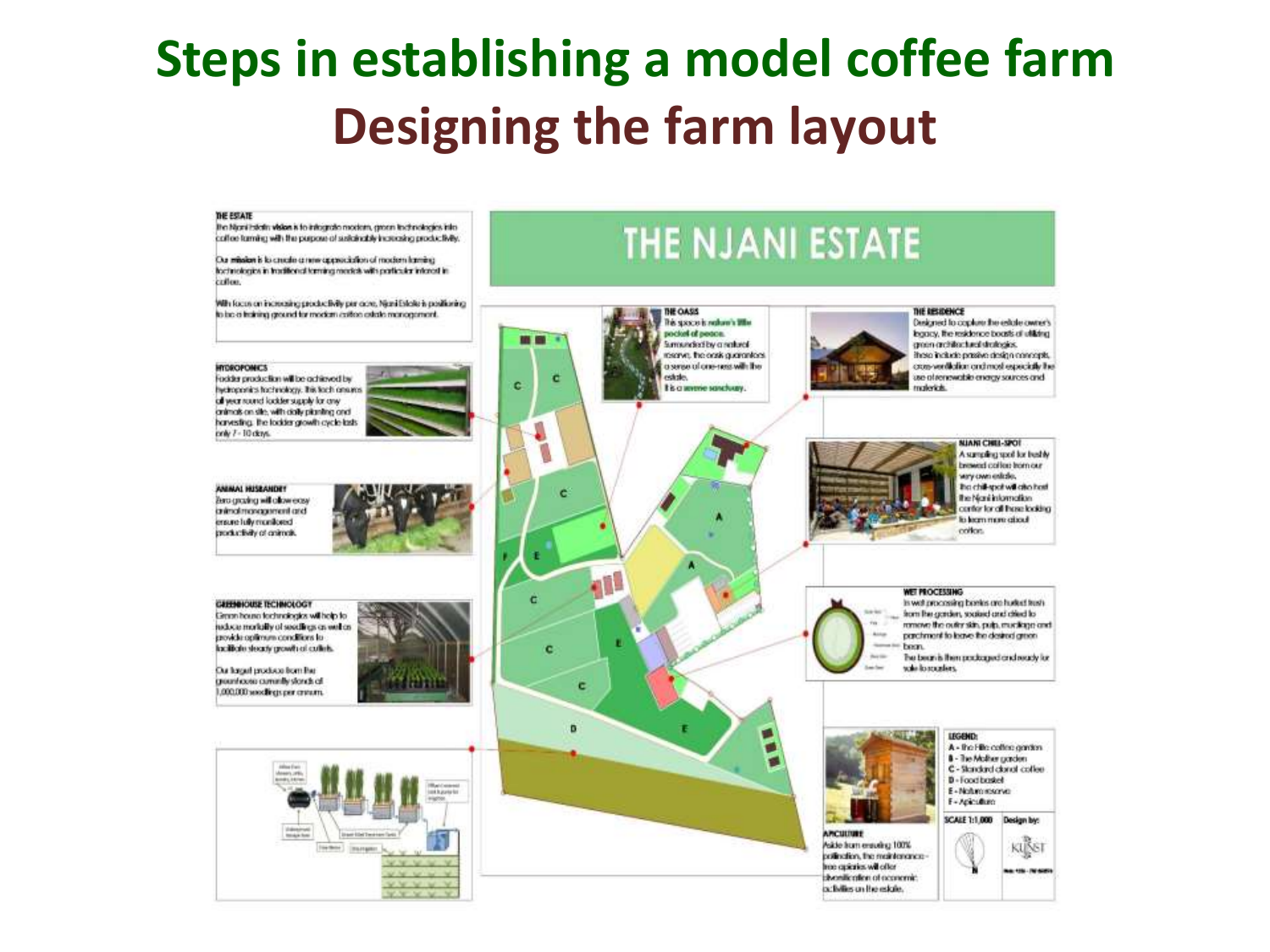#### **Steps in establishing a model coffee farm Designing the farm layout**

#### THE ESTATE

the Nice i Feletin Walan is to informate modern, green includingles into coffee turning with the purpose of susksinably increasing productivity.

Our mindian is lo crucalm a new approachable of modern lamaing hachreshegics in traditional terming models with particular interest in ciráticas.

With faces on increasing productivity per core. Nigni Estate is positioning to be a training ground for modern collon catalo management.

#### **INTERCROMICS**

Fockler production will be achieved by hydroponics hachnology. This lach ansures all wear round lookter supply for any onlines on site, with dolly planting and harvesting. The lockter growth cycle lasts poly 7 - 10 days.

ANIMAL HUSEANDET **Baro graphig will allow easy** animal management and ensure lufty monitored productivity of onlineds.

CERNICUSE TECHNOLOGY Green house fechnologies with help for nebcas morkally of socialings on well as provide optimum conditions to locificiu docuty growh of culture.

Our larger produce from the greenhoose commite stonds of 000.000 seedlings per cream.







activities un the esigle.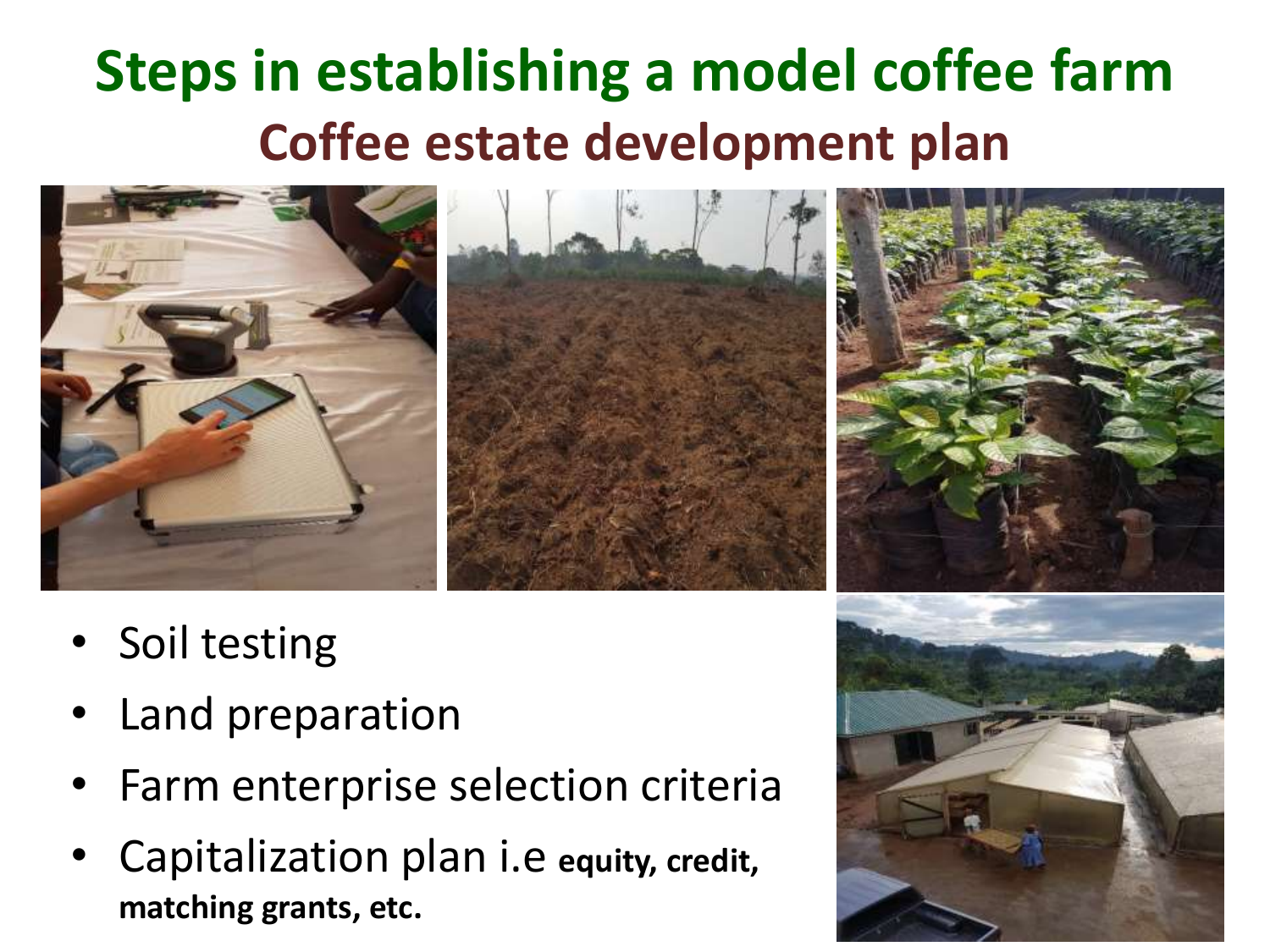# **Steps in establishing a model coffee farm Coffee estate development plan**



- Soil testing
- Land preparation
- Farm enterprise selection criteria
- Capitalization plan i.e **equity, credit, matching grants, etc.**

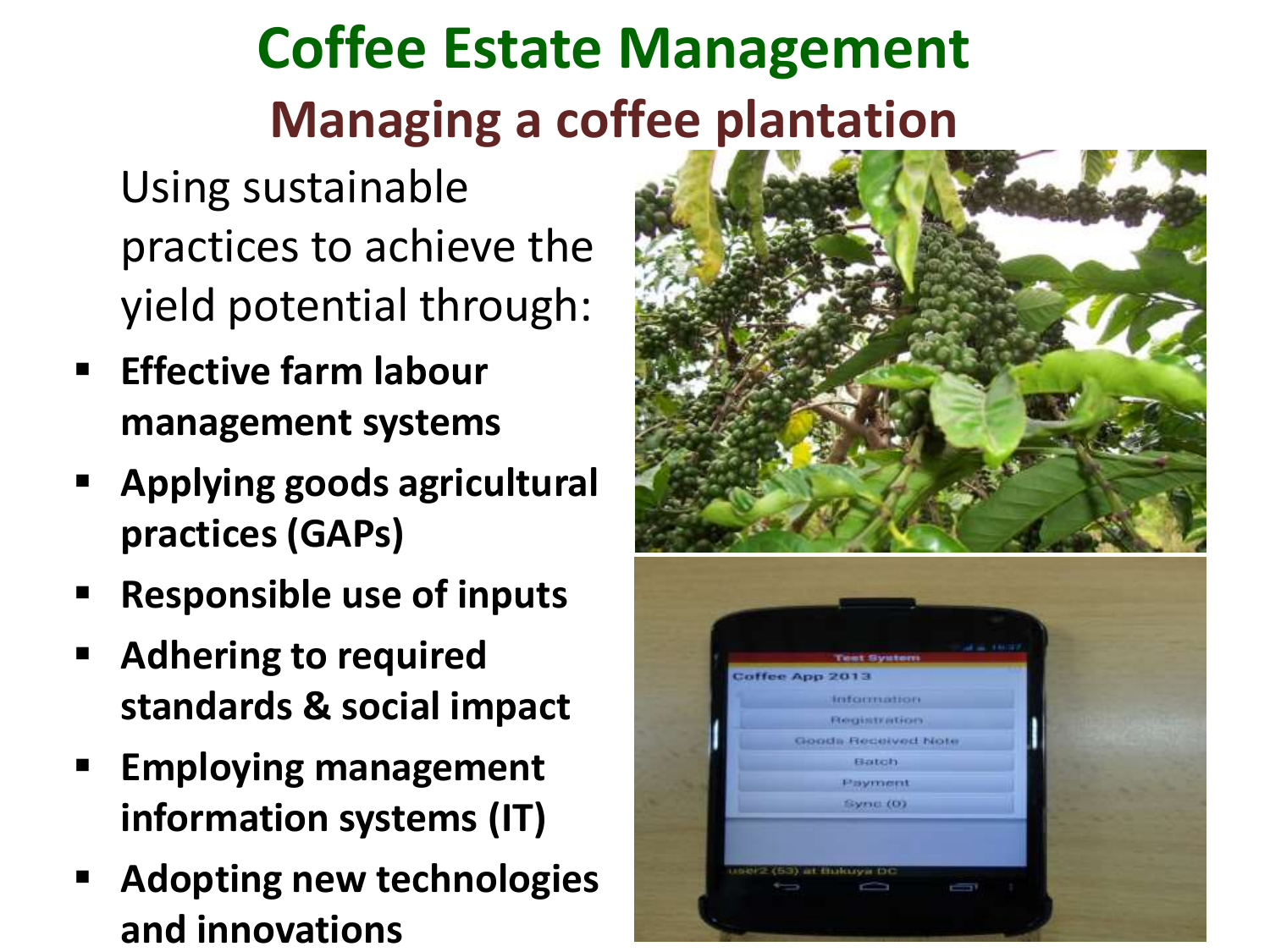# **Coffee Estate Management Managing a coffee plantation**

Using sustainable practices to achieve the yield potential through:

- **Effective farm labour management systems**
- **Applying goods agricultural practices (GAPs)**
- **Responsible use of inputs**
- **Adhering to required standards & social impact**
- **Employing management information systems (IT)**
- **Adopting new technologies and innovations**



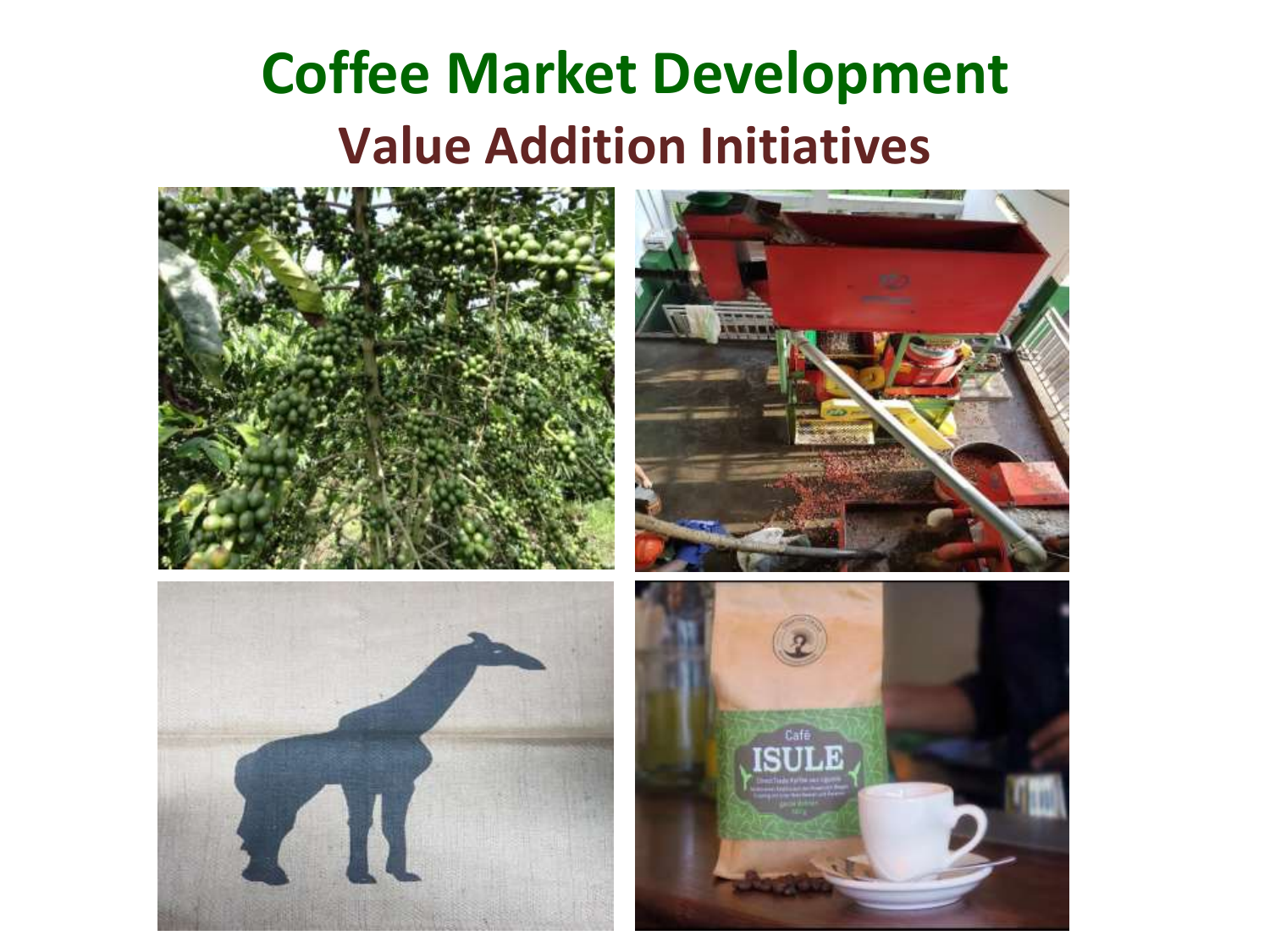## **Coffee Market Development Value Addition Initiatives**







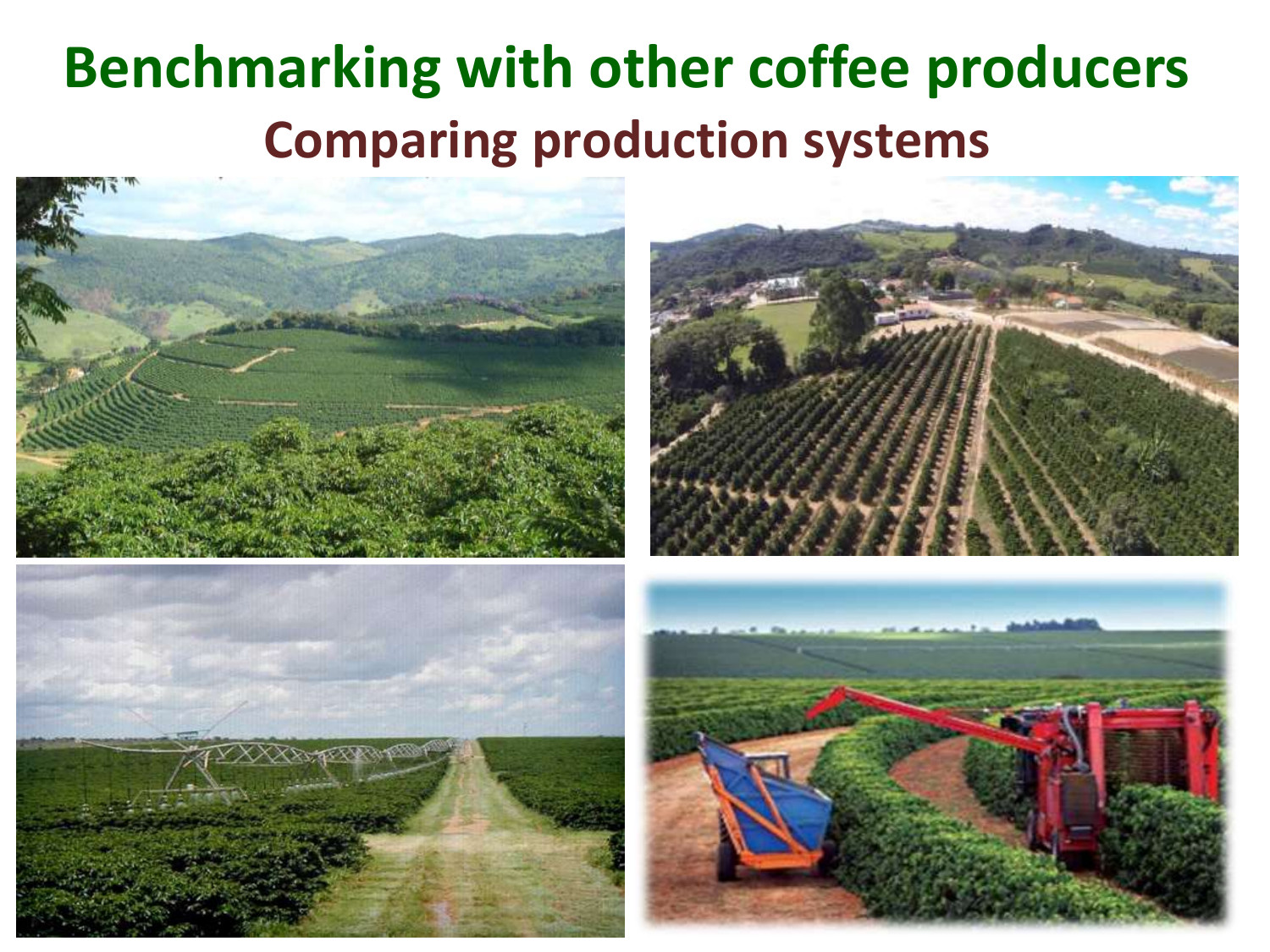## **Benchmarking with other coffee producers Comparing production systems**







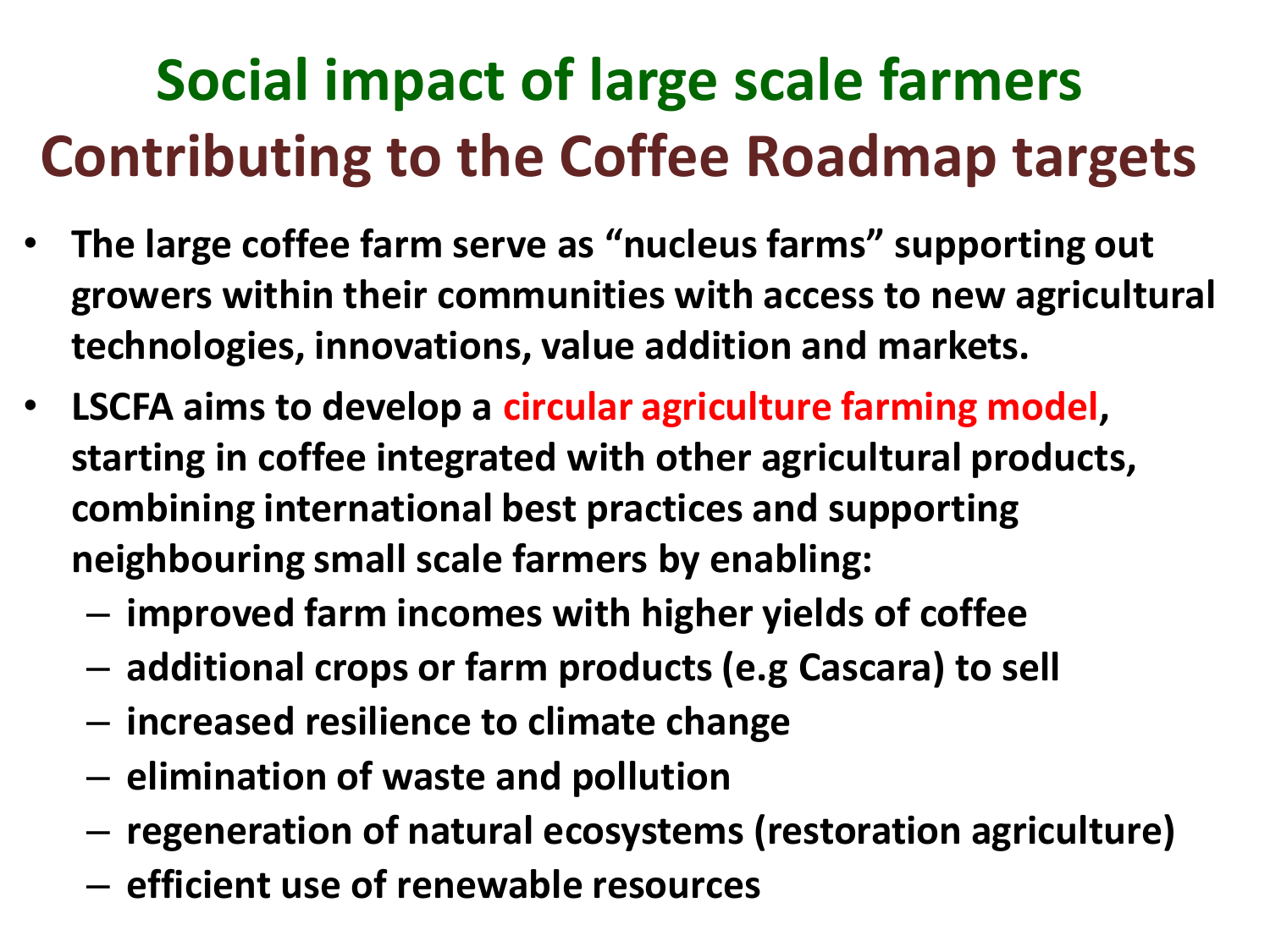# **Social impact of large scale farmers Contributing to the Coffee Roadmap targets**

- **The large coffee farm serve as "nucleus farms" supporting out growers within their communities with access to new agricultural technologies, innovations, value addition and markets.**
- **LSCFA aims to develop a circular agriculture farming model, starting in coffee integrated with other agricultural products, combining international best practices and supporting neighbouring small scale farmers by enabling:**
	- **improved farm incomes with higher yields of coffee**
	- **additional crops or farm products (e.g Cascara) to sell**
	- **increased resilience to climate change**
	- **elimination of waste and pollution**
	- **regeneration of natural ecosystems (restoration agriculture)**
	- **efficient use of renewable resources**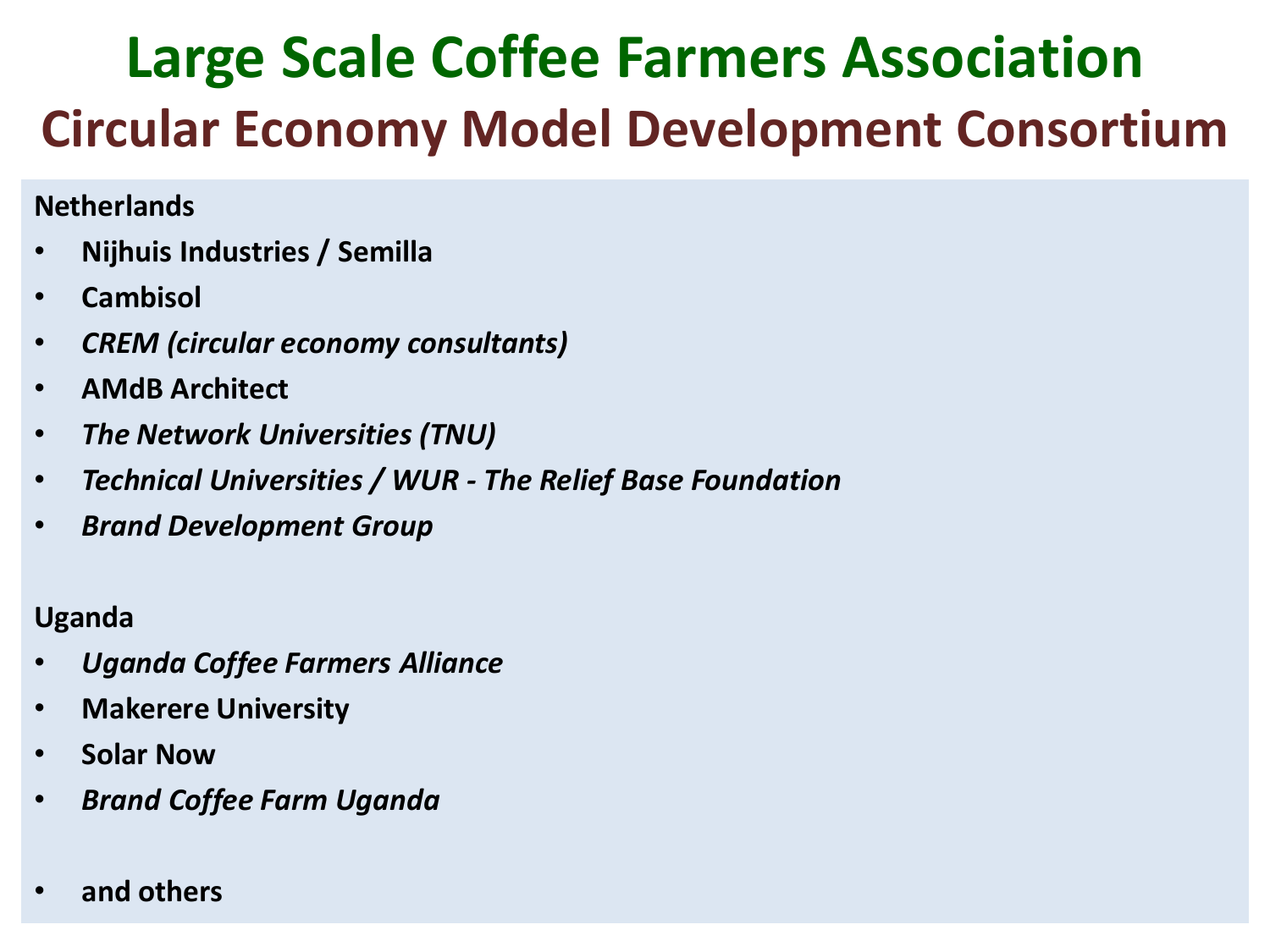## **Large Scale Coffee Farmers Association Circular Economy Model Development Consortium**

#### **Netherlands**

- **Nijhuis Industries / Semilla**
- **Cambisol**
- *CREM (circular economy consultants)*
- **AMdB Architect**
- *The Network Universities (TNU)*
- *Technical Universities / WUR - The Relief Base Foundation*
- *Brand Development Group*

#### **Uganda**

- *Uganda Coffee Farmers Alliance*
- **Makerere University**
- **Solar Now**
- *Brand Coffee Farm Uganda*
- **and others**